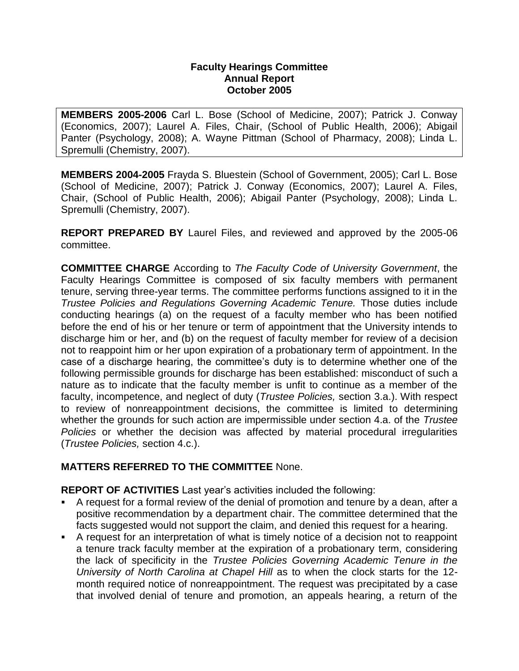## **Faculty Hearings Committee Annual Report October 2005**

**MEMBERS 2005-2006** Carl L. Bose (School of Medicine, 2007); Patrick J. Conway (Economics, 2007); Laurel A. Files, Chair, (School of Public Health, 2006); Abigail Panter (Psychology, 2008); A. Wayne Pittman (School of Pharmacy, 2008); Linda L. Spremulli (Chemistry, 2007).

**MEMBERS 2004-2005** Frayda S. Bluestein (School of Government, 2005); Carl L. Bose (School of Medicine, 2007); Patrick J. Conway (Economics, 2007); Laurel A. Files, Chair, (School of Public Health, 2006); Abigail Panter (Psychology, 2008); Linda L. Spremulli (Chemistry, 2007).

**REPORT PREPARED BY** Laurel Files, and reviewed and approved by the 2005-06 committee.

**COMMITTEE CHARGE** According to *The Faculty Code of University Government*, the Faculty Hearings Committee is composed of six faculty members with permanent tenure, serving three-year terms. The committee performs functions assigned to it in the *Trustee Policies and Regulations Governing Academic Tenure.* Those duties include conducting hearings (a) on the request of a faculty member who has been notified before the end of his or her tenure or term of appointment that the University intends to discharge him or her, and (b) on the request of faculty member for review of a decision not to reappoint him or her upon expiration of a probationary term of appointment. In the case of a discharge hearing, the committee's duty is to determine whether one of the following permissible grounds for discharge has been established: misconduct of such a nature as to indicate that the faculty member is unfit to continue as a member of the faculty, incompetence, and neglect of duty (*Trustee Policies,* section 3.a.). With respect to review of nonreappointment decisions, the committee is limited to determining whether the grounds for such action are impermissible under section 4.a. of the *Trustee Policies* or whether the decision was affected by material procedural irregularities (*Trustee Policies,* section 4.c.).

## **MATTERS REFERRED TO THE COMMITTEE** None.

**REPORT OF ACTIVITIES** Last year's activities included the following:

- A request for a formal review of the denial of promotion and tenure by a dean, after a positive recommendation by a department chair. The committee determined that the facts suggested would not support the claim, and denied this request for a hearing.
- A request for an interpretation of what is timely notice of a decision not to reappoint a tenure track faculty member at the expiration of a probationary term, considering the lack of specificity in the *Trustee Policies Governing Academic Tenure in the University of North Carolina at Chapel Hill* as to when the clock starts for the 12 month required notice of nonreappointment. The request was precipitated by a case that involved denial of tenure and promotion, an appeals hearing, a return of the